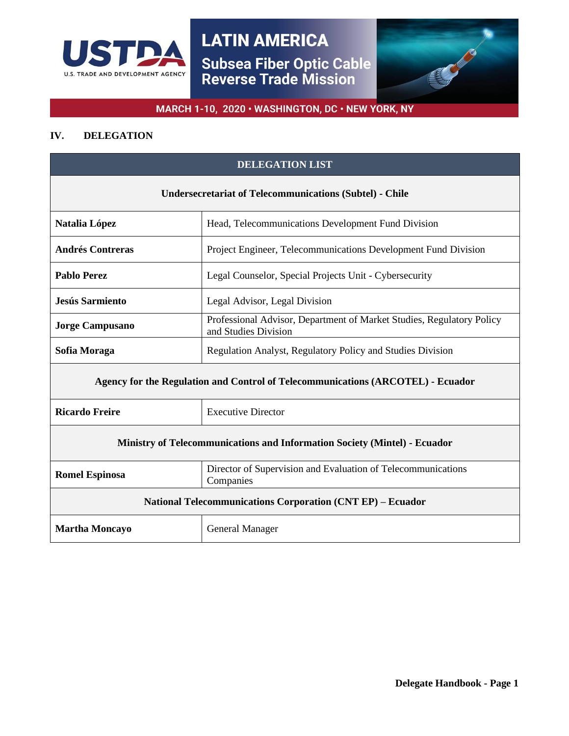



# MARCH 1-10, 2020 · WASHINGTON, DC · NEW YORK, NY

# **IV. DELEGATION**

| <b>DELEGATION LIST</b>                                                          |                                                                                               |
|---------------------------------------------------------------------------------|-----------------------------------------------------------------------------------------------|
| <b>Undersecretariat of Telecommunications (Subtel) - Chile</b>                  |                                                                                               |
| Natalia López                                                                   | Head, Telecommunications Development Fund Division                                            |
| <b>Andrés Contreras</b>                                                         | Project Engineer, Telecommunications Development Fund Division                                |
| <b>Pablo Perez</b>                                                              | Legal Counselor, Special Projects Unit - Cybersecurity                                        |
| <b>Jesús Sarmiento</b>                                                          | Legal Advisor, Legal Division                                                                 |
| <b>Jorge Campusano</b>                                                          | Professional Advisor, Department of Market Studies, Regulatory Policy<br>and Studies Division |
| Sofia Moraga                                                                    | Regulation Analyst, Regulatory Policy and Studies Division                                    |
| Agency for the Regulation and Control of Telecommunications (ARCOTEL) - Ecuador |                                                                                               |
| <b>Ricardo Freire</b>                                                           | <b>Executive Director</b>                                                                     |
| Ministry of Telecommunications and Information Society (Mintel) - Ecuador       |                                                                                               |
| <b>Romel Espinosa</b>                                                           | Director of Supervision and Evaluation of Telecommunications<br>Companies                     |
| <b>National Telecommunications Corporation (CNT EP) – Ecuador</b>               |                                                                                               |
| <b>Martha Moncayo</b>                                                           | <b>General Manager</b>                                                                        |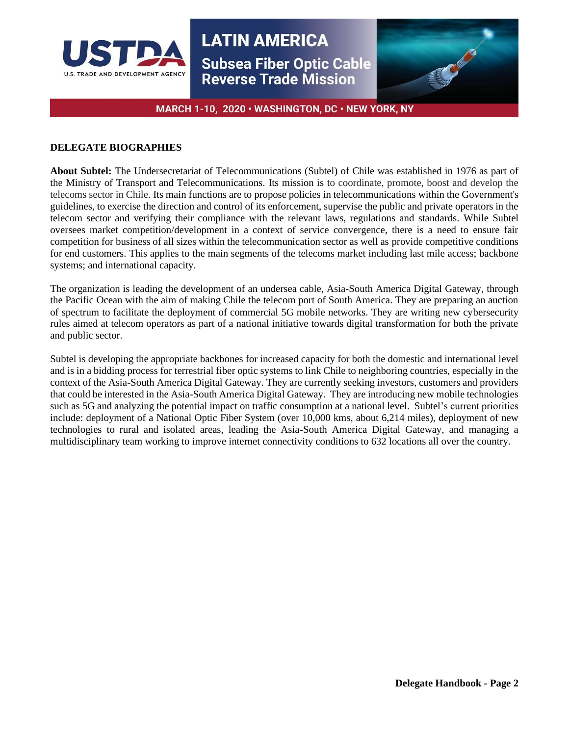



# MARCH 1-10, 2020 · WASHINGTON, DC · NEW YORK, NY

## **DELEGATE BIOGRAPHIES**

**About Subtel:** The Undersecretariat of Telecommunications (Subtel) of Chile was established in 1976 as part of the Ministry of Transport and Telecommunications. Its mission is to coordinate, promote, boost and develop the telecoms sector in Chile. Its main functions are to propose policies in telecommunications within the Government's guidelines, to exercise the direction and control of its enforcement, supervise the public and private operators in the telecom sector and verifying their compliance with the relevant laws, regulations and standards. While Subtel oversees market competition/development in a context of service convergence, there is a need to ensure fair competition for business of all sizes within the telecommunication sector as well as provide competitive conditions for end customers. This applies to the main segments of the telecoms market including last mile access; backbone systems; and international capacity.

The organization is leading the development of an undersea cable, Asia-South America Digital Gateway, through the Pacific Ocean with the aim of making Chile the telecom port of South America. They are preparing an auction of spectrum to facilitate the deployment of commercial 5G mobile networks. They are writing new cybersecurity rules aimed at telecom operators as part of a national initiative towards digital transformation for both the private and public sector.

Subtel is developing the appropriate backbones for increased capacity for both the domestic and international level and is in a bidding process for terrestrial fiber optic systems to link Chile to neighboring countries, especially in the context of the Asia-South America Digital Gateway. They are currently seeking investors, customers and providers that could be interested in the Asia-South America Digital Gateway. They are introducing new mobile technologies such as 5G and analyzing the potential impact on traffic consumption at a national level. Subtel's current priorities include: deployment of a National Optic Fiber System (over 10,000 kms, about 6,214 miles), deployment of new technologies to rural and isolated areas, leading the Asia-South America Digital Gateway, and managing a multidisciplinary team working to improve internet connectivity conditions to 632 locations all over the country.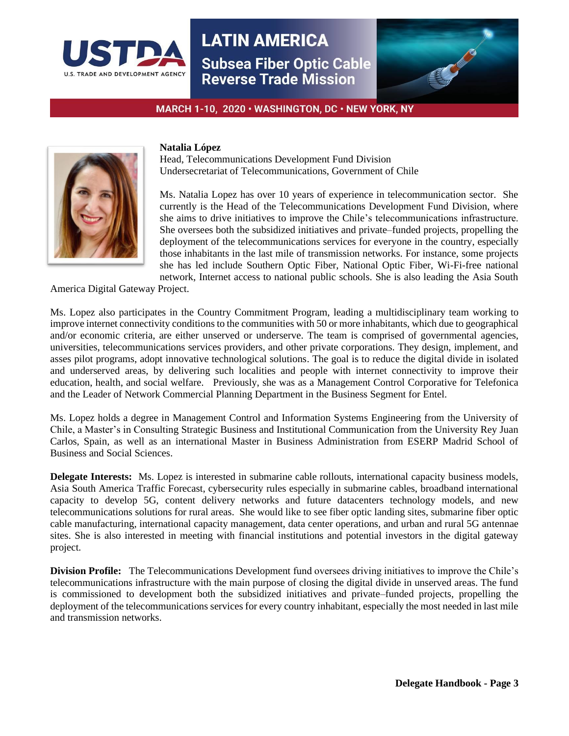



MARCH 1-10, 2020 · WASHINGTON, DC · NEW YORK, NY



## **Natalia López**

Head, Telecommunications Development Fund Division Undersecretariat of Telecommunications, Government of Chile

Ms. Natalia Lopez has over 10 years of experience in telecommunication sector. She currently is the Head of the Telecommunications Development Fund Division, where she aims to drive initiatives to improve the Chile's telecommunications infrastructure. She oversees both the subsidized initiatives and private–funded projects, propelling the deployment of the telecommunications services for everyone in the country, especially those inhabitants in the last mile of transmission networks. For instance, some projects she has led include Southern Optic Fiber, National Optic Fiber, Wi-Fi-free national network, Internet access to national public schools. She is also leading the Asia South

America Digital Gateway Project.

Ms. Lopez also participates in the Country Commitment Program, leading a multidisciplinary team working to improve internet connectivity conditions to the communities with 50 or more inhabitants, which due to geographical and/or economic criteria, are either unserved or underserve. The team is comprised of governmental agencies, universities, telecommunications services providers, and other private corporations. They design, implement, and asses pilot programs, adopt innovative technological solutions. The goal is to reduce the digital divide in isolated and underserved areas, by delivering such localities and people with internet connectivity to improve their education, health, and social welfare. Previously, she was as a Management Control Corporative for Telefonica and the Leader of Network Commercial Planning Department in the Business Segment for Entel.

Ms. Lopez holds a degree in Management Control and Information Systems Engineering from the University of Chile, a Master's in Consulting Strategic Business and Institutional Communication from the University Rey Juan Carlos, Spain, as well as an international Master in Business Administration from ESERP Madrid School of Business and Social Sciences.

**Delegate Interests:** Ms. Lopez is interested in submarine cable rollouts, international capacity business models, Asia South America Traffic Forecast, cybersecurity rules especially in submarine cables, broadband international capacity to develop 5G, content delivery networks and future datacenters technology models, and new telecommunications solutions for rural areas. She would like to see fiber optic landing sites, submarine fiber optic cable manufacturing, international capacity management, data center operations, and urban and rural 5G antennae sites. She is also interested in meeting with financial institutions and potential investors in the digital gateway project.

**Division Profile:** The Telecommunications Development fund oversees driving initiatives to improve the Chile's telecommunications infrastructure with the main purpose of closing the digital divide in unserved areas. The fund is commissioned to development both the subsidized initiatives and private–funded projects, propelling the deployment of the telecommunications services for every country inhabitant, especially the most needed in last mile and transmission networks.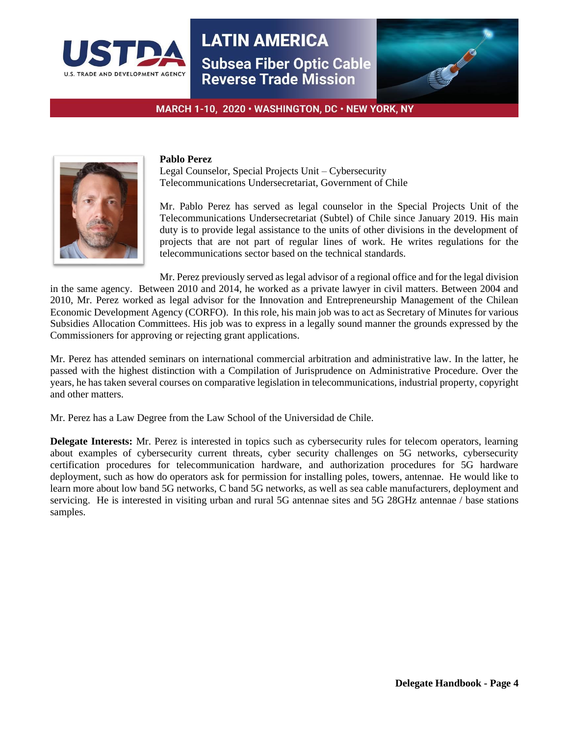



MARCH 1-10, 2020 · WASHINGTON, DC · NEW YORK, NY



#### **Pablo Perez**

Legal Counselor, Special Projects Unit – Cybersecurity Telecommunications Undersecretariat, Government of Chile

Mr. Pablo Perez has served as legal counselor in the Special Projects Unit of the Telecommunications Undersecretariat (Subtel) of Chile since January 2019. His main duty is to provide legal assistance to the units of other divisions in the development of projects that are not part of regular lines of work. He writes regulations for the telecommunications sector based on the technical standards.

Mr. Perez previously served as legal advisor of a regional office and for the legal division in the same agency. Between 2010 and 2014, he worked as a private lawyer in civil matters. Between 2004 and 2010, Mr. Perez worked as legal advisor for the Innovation and Entrepreneurship Management of the Chilean Economic Development Agency (CORFO). In this role, his main job was to act as Secretary of Minutes for various Subsidies Allocation Committees. His job was to express in a legally sound manner the grounds expressed by the Commissioners for approving or rejecting grant applications.

Mr. Perez has attended seminars on international commercial arbitration and administrative law. In the latter, he passed with the highest distinction with a Compilation of Jurisprudence on Administrative Procedure. Over the years, he has taken several courses on comparative legislation in telecommunications, industrial property, copyright and other matters.

Mr. Perez has a Law Degree from the Law School of the Universidad de Chile.

**Delegate Interests:** Mr. Perez is interested in topics such as cybersecurity rules for telecom operators, learning about examples of cybersecurity current threats, cyber security challenges on 5G networks, cybersecurity certification procedures for telecommunication hardware, and authorization procedures for 5G hardware deployment, such as how do operators ask for permission for installing poles, towers, antennae. He would like to learn more about low band 5G networks, C band 5G networks, as well as sea cable manufacturers, deployment and servicing. He is interested in visiting urban and rural 5G antennae sites and 5G 28GHz antennae / base stations samples.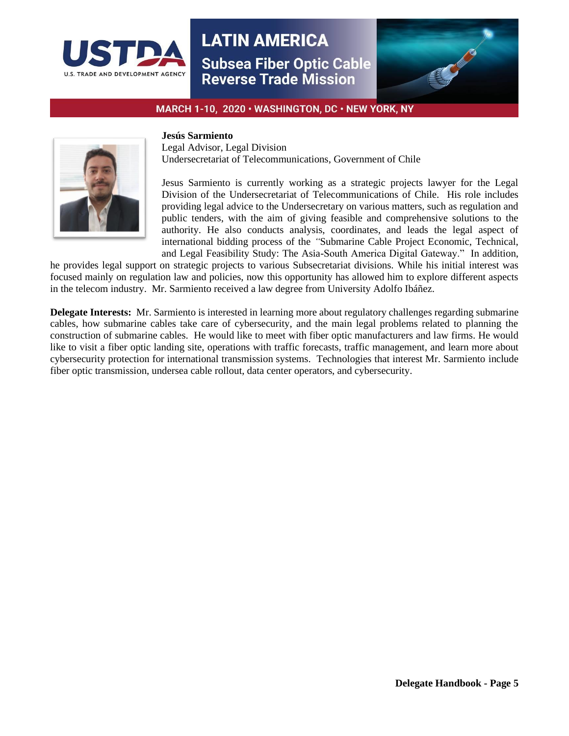



MARCH 1-10, 2020 · WASHINGTON, DC · NEW YORK, NY



### **Jesús Sarmiento**

Legal Advisor, Legal Division Undersecretariat of Telecommunications, Government of Chile

Jesus Sarmiento is currently working as a strategic projects lawyer for the Legal Division of the Undersecretariat of Telecommunications of Chile.His role includes providing legal advice to the Undersecretary on various matters, such as regulation and public tenders, with the aim of giving feasible and comprehensive solutions to the authority. He also conducts analysis, coordinates, and leads the legal aspect of international bidding process of the *"*Submarine Cable Project Economic, Technical, and Legal Feasibility Study: The Asia-South America Digital Gateway." In addition,

he provides legal support on strategic projects to various Subsecretariat divisions. While his initial interest was focused mainly on regulation law and policies, now this opportunity has allowed him to explore different aspects in the telecom industry. Mr. Sarmiento received a law degree from University Adolfo Ibáñez.

**Delegate Interests:** Mr. Sarmiento is interested in learning more about regulatory challenges regarding submarine cables, how submarine cables take care of cybersecurity, and the main legal problems related to planning the construction of submarine cables. He would like to meet with fiber optic manufacturers and law firms. He would like to visit a fiber optic landing site, operations with traffic forecasts, traffic management, and learn more about cybersecurity protection for international transmission systems. Technologies that interest Mr. Sarmiento include fiber optic transmission, undersea cable rollout, data center operators, and cybersecurity.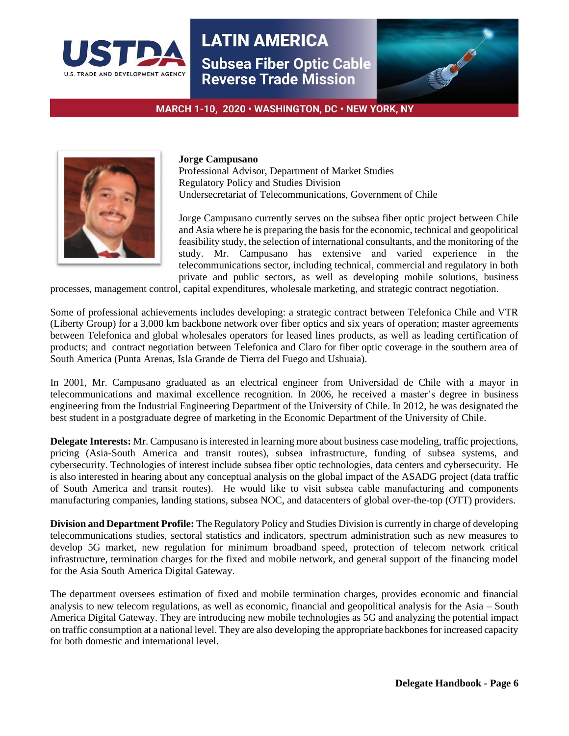



MARCH 1-10, 2020 · WASHINGTON, DC · NEW YORK, NY



#### **Jorge Campusano**

Professional Advisor, Department of Market Studies Regulatory Policy and Studies Division Undersecretariat of Telecommunications, Government of Chile

Jorge Campusano currently serves on the subsea fiber optic project between Chile and Asia where he is preparing the basis for the economic, technical and geopolitical feasibility study, the selection of international consultants, and the monitoring of the study. Mr. Campusano has extensive and varied experience in the telecommunications sector, including technical, commercial and regulatory in both private and public sectors, as well as developing mobile solutions, business

processes, management control, capital expenditures, wholesale marketing, and strategic contract negotiation.

Some of professional achievements includes developing: a strategic contract between Telefonica Chile and VTR (Liberty Group) for a 3,000 km backbone network over fiber optics and six years of operation; master agreements between Telefonica and global wholesales operators for leased lines products, as well as leading certification of products; and contract negotiation between Telefonica and Claro for fiber optic coverage in the southern area of South America (Punta Arenas, Isla Grande de Tierra del Fuego and Ushuaia).

In 2001, Mr. Campusano graduated as an electrical engineer from Universidad de Chile with a mayor in telecommunications and maximal excellence recognition. In 2006, he received a master's degree in business engineering from the Industrial Engineering Department of the University of Chile. In 2012, he was designated the best student in a postgraduate degree of marketing in the Economic Department of the University of Chile.

**Delegate Interests:** Mr. Campusano is interested in learning more about business case modeling, traffic projections, pricing (Asia-South America and transit routes), subsea infrastructure, funding of subsea systems, and cybersecurity. Technologies of interest include subsea fiber optic technologies, data centers and cybersecurity. He is also interested in hearing about any conceptual analysis on the global impact of the ASADG project (data traffic of South America and transit routes). He would like to visit subsea cable manufacturing and components manufacturing companies, landing stations, subsea NOC, and datacenters of global over-the-top (OTT) providers.

**Division and Department Profile:** The Regulatory Policy and Studies Division is currently in charge of developing telecommunications studies, sectoral statistics and indicators, spectrum administration such as new measures to develop 5G market, new regulation for minimum broadband speed, protection of telecom network critical infrastructure, termination charges for the fixed and mobile network, and general support of the financing model for the Asia South America Digital Gateway.

The department oversees estimation of fixed and mobile termination charges, provides economic and financial analysis to new telecom regulations, as well as economic, financial and geopolitical analysis for the Asia – South America Digital Gateway. They are introducing new mobile technologies as 5G and analyzing the potential impact on traffic consumption at a national level. They are also developing the appropriate backbones for increased capacity for both domestic and international level.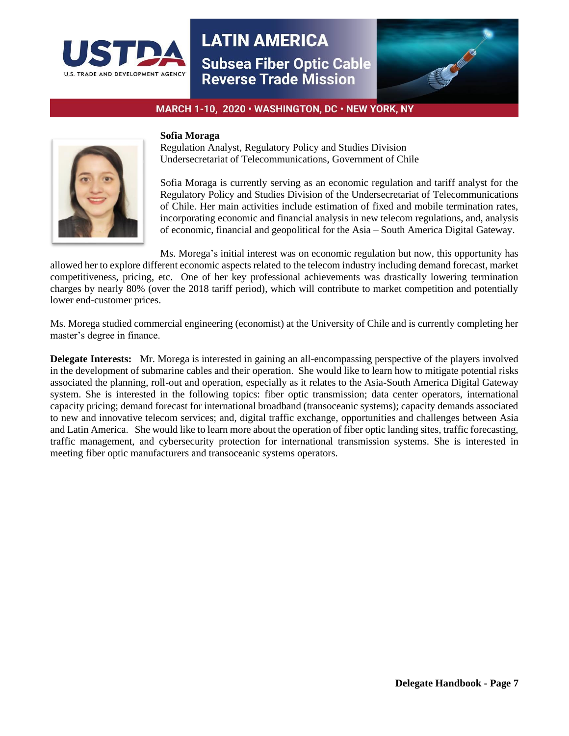



MARCH 1-10, 2020 · WASHINGTON, DC · NEW YORK, NY



#### **Sofia Moraga**

Regulation Analyst, Regulatory Policy and Studies Division Undersecretariat of Telecommunications, Government of Chile

Sofia Moraga is currently serving as an economic regulation and tariff analyst for the Regulatory Policy and Studies Division of the Undersecretariat of Telecommunications of Chile. Her main activities include estimation of fixed and mobile termination rates, incorporating economic and financial analysis in new telecom regulations, and, analysis of economic, financial and geopolitical for the Asia – South America Digital Gateway.

Ms. Morega's initial interest was on economic regulation but now, this opportunity has allowed her to explore different economic aspects related to the telecom industry including demand forecast, market competitiveness, pricing, etc. One of her key professional achievements was drastically lowering termination charges by nearly 80% (over the 2018 tariff period), which will contribute to market competition and potentially lower end-customer prices.

Ms. Morega studied commercial engineering (economist) at the University of Chile and is currently completing her master's degree in finance.

**Delegate Interests:** Mr. Morega is interested in gaining an all-encompassing perspective of the players involved in the development of submarine cables and their operation. She would like to learn how to mitigate potential risks associated the planning, roll-out and operation, especially as it relates to the Asia-South America Digital Gateway system. She is interested in the following topics: fiber optic transmission; data center operators, international capacity pricing; demand forecast for international broadband (transoceanic systems); capacity demands associated to new and innovative telecom services; and, digital traffic exchange, opportunities and challenges between Asia and Latin America. She would like to learn more about the operation of fiber optic landing sites, traffic forecasting, traffic management, and cybersecurity protection for international transmission systems. She is interested in meeting fiber optic manufacturers and transoceanic systems operators.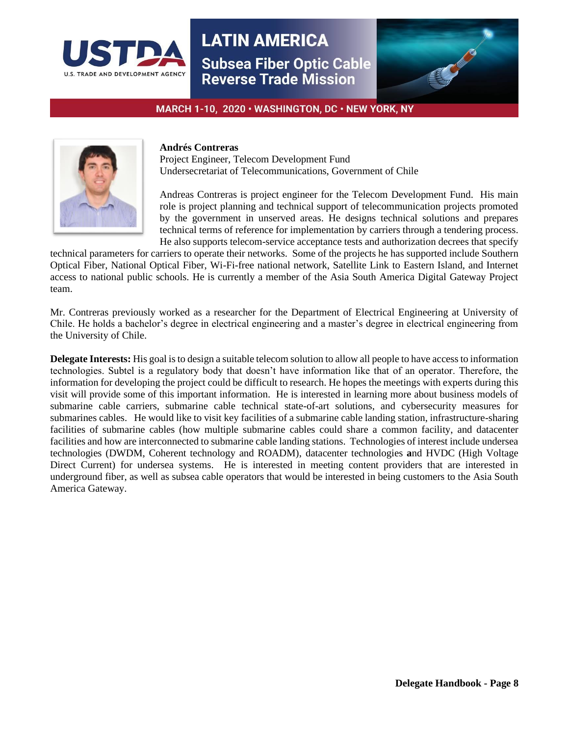



MARCH 1-10, 2020 · WASHINGTON, DC · NEW YORK, NY



### **Andrés Contreras**

Project Engineer, Telecom Development Fund Undersecretariat of Telecommunications, Government of Chile

Andreas Contreras is project engineer for the Telecom Development Fund. His main role is project planning and technical support of telecommunication projects promoted by the government in unserved areas. He designs technical solutions and prepares technical terms of reference for implementation by carriers through a tendering process. He also supports telecom-service acceptance tests and authorization decrees that specify

technical parameters for carriers to operate their networks. Some of the projects he has supported include Southern Optical Fiber, National Optical Fiber, Wi-Fi-free national network, Satellite Link to Eastern Island, and Internet access to national public schools. He is currently a member of the Asia South America Digital Gateway Project team.

Mr. Contreras previously worked as a researcher for the Department of Electrical Engineering at University of Chile. He holds a bachelor's degree in electrical engineering and a master's degree in electrical engineering from the University of Chile.

**Delegate Interests:** His goal is to design a suitable telecom solution to allow all people to have access to information technologies. Subtel is a regulatory body that doesn't have information like that of an operator. Therefore, the information for developing the project could be difficult to research. He hopes the meetings with experts during this visit will provide some of this important information. He is interested in learning more about business models of submarine cable carriers, submarine cable technical state-of-art solutions, and cybersecurity measures for submarines cables. He would like to visit key facilities of a submarine cable landing station, infrastructure-sharing facilities of submarine cables (how multiple submarine cables could share a common facility, and datacenter facilities and how are interconnected to submarine cable landing stations. Technologies of interest include undersea technologies (DWDM, Coherent technology and ROADM), datacenter technologies **a**nd HVDC (High Voltage Direct Current) for undersea systems. He is interested in meeting content providers that are interested in underground fiber, as well as subsea cable operators that would be interested in being customers to the Asia South America Gateway.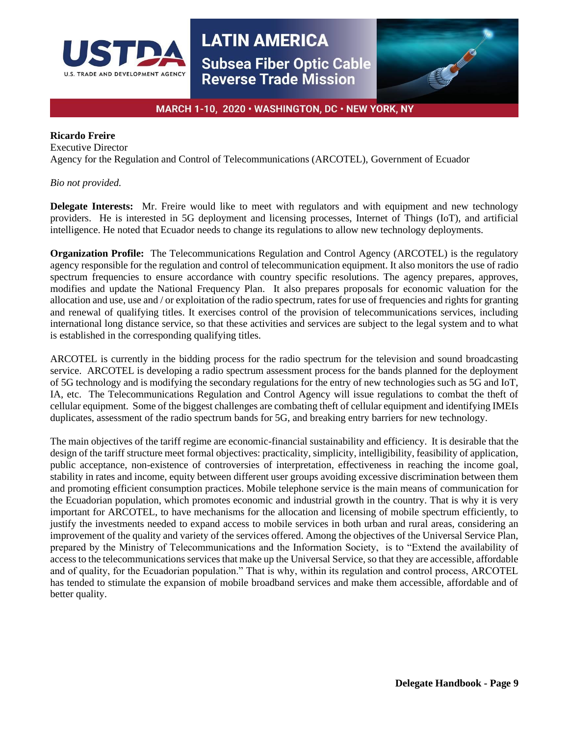



# MARCH 1-10, 2020 · WASHINGTON, DC · NEW YORK, NY

## **Ricardo Freire**

Executive Director Agency for the Regulation and Control of Telecommunications (ARCOTEL), Government of Ecuador

## *Bio not provided.*

**Delegate Interests:** Mr. Freire would like to meet with regulators and with equipment and new technology providers. He is interested in 5G deployment and licensing processes, Internet of Things (IoT), and artificial intelligence. He noted that Ecuador needs to change its regulations to allow new technology deployments.

**Organization Profile:** The Telecommunications Regulation and Control Agency (ARCOTEL) is the regulatory agency responsible for the regulation and control of telecommunication equipment. It also monitors the use of radio spectrum frequencies to ensure accordance with country specific resolutions. The agency prepares, approves, modifies and update the National Frequency Plan. It also prepares proposals for economic valuation for the allocation and use, use and / or exploitation of the radio spectrum, rates for use of frequencies and rights for granting and renewal of qualifying titles. It exercises control of the provision of telecommunications services, including international long distance service, so that these activities and services are subject to the legal system and to what is established in the corresponding qualifying titles.

ARCOTEL is currently in the bidding process for the radio spectrum for the television and sound broadcasting service. ARCOTEL is developing a radio spectrum assessment process for the bands planned for the deployment of 5G technology and is modifying the secondary regulations for the entry of new technologies such as 5G and IoT, IA, etc. The Telecommunications Regulation and Control Agency will issue regulations to combat the theft of cellular equipment. Some of the biggest challenges are combating theft of cellular equipment and identifying IMEIs duplicates, assessment of the radio spectrum bands for 5G, and breaking entry barriers for new technology.

The main objectives of the tariff regime are economic-financial sustainability and efficiency. It is desirable that the design of the tariff structure meet formal objectives: practicality, simplicity, intelligibility, feasibility of application, public acceptance, non-existence of controversies of interpretation, effectiveness in reaching the income goal, stability in rates and income, equity between different user groups avoiding excessive discrimination between them and promoting efficient consumption practices. Mobile telephone service is the main means of communication for the Ecuadorian population, which promotes economic and industrial growth in the country. That is why it is very important for ARCOTEL, to have mechanisms for the allocation and licensing of mobile spectrum efficiently, to justify the investments needed to expand access to mobile services in both urban and rural areas, considering an improvement of the quality and variety of the services offered. Among the objectives of the Universal Service Plan, prepared by the Ministry of Telecommunications and the Information Society, is to "Extend the availability of access to the telecommunications services that make up the Universal Service, so that they are accessible, affordable and of quality, for the Ecuadorian population." That is why, within its regulation and control process, ARCOTEL has tended to stimulate the expansion of mobile broadband services and make them accessible, affordable and of better quality.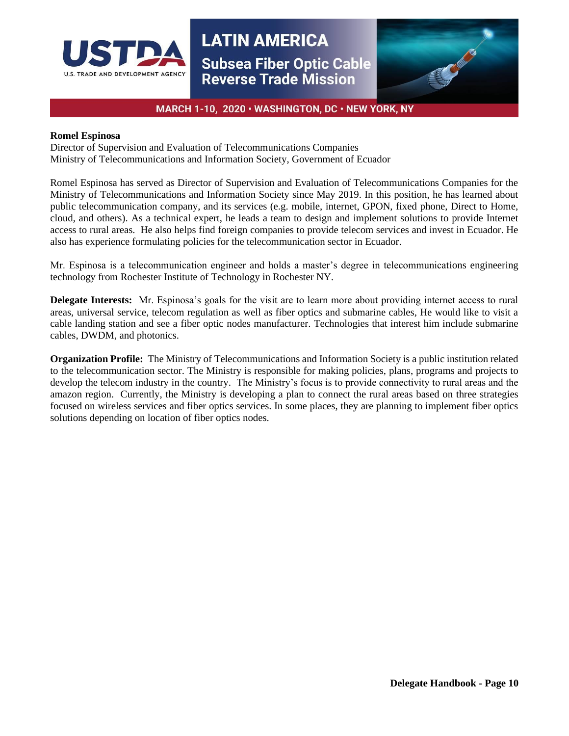



# MARCH 1-10, 2020 · WASHINGTON, DC · NEW YORK, NY

#### **Romel Espinosa**

Director of Supervision and Evaluation of Telecommunications Companies Ministry of Telecommunications and Information Society, Government of Ecuador

Romel Espinosa has served as Director of Supervision and Evaluation of Telecommunications Companies for the Ministry of Telecommunications and Information Society since May 2019. In this position, he has learned about public telecommunication company, and its services (e.g. mobile, internet, GPON, fixed phone, Direct to Home, cloud, and others). As a technical expert, he leads a team to design and implement solutions to provide Internet access to rural areas. He also helps find foreign companies to provide telecom services and invest in Ecuador. He also has experience formulating policies for the telecommunication sector in Ecuador.

Mr. Espinosa is a telecommunication engineer and holds a master's degree in telecommunications engineering technology from Rochester Institute of Technology in Rochester NY.

**Delegate Interests:** Mr. Espinosa's goals for the visit are to learn more about providing internet access to rural areas, universal service, telecom regulation as well as fiber optics and submarine cables, He would like to visit a cable landing station and see a fiber optic nodes manufacturer. Technologies that interest him include submarine cables, DWDM, and photonics.

**Organization Profile:** The Ministry of Telecommunications and Information Society is a public institution related to the telecommunication sector. The Ministry is responsible for making policies, plans, programs and projects to develop the telecom industry in the country. The Ministry's focus is to provide connectivity to rural areas and the amazon region. Currently, the Ministry is developing a plan to connect the rural areas based on three strategies focused on wireless services and fiber optics services. In some places, they are planning to implement fiber optics solutions depending on location of fiber optics nodes.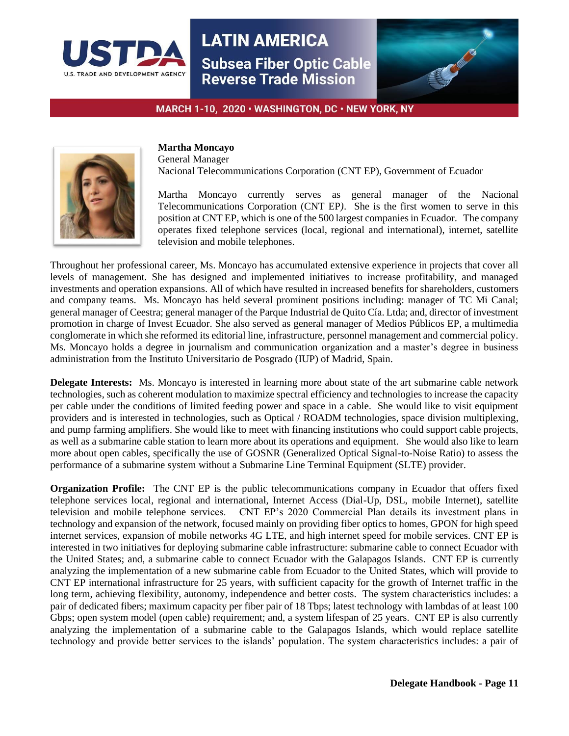



MARCH 1-10, 2020 · WASHINGTON, DC · NEW YORK, NY



# **Martha Moncayo**

General Manager Nacional Telecommunications Corporation (CNT EP), Government of Ecuador

Martha Moncayo currently serves as general manager of the Nacional Telecommunications Corporation (CNT EP*)*. She is the first women to serve in this position at CNT EP, which is one of the 500 largest companies in Ecuador. The company operates fixed telephone services (local, regional and international), internet, satellite television and mobile telephones.

Throughout her professional career, Ms. Moncayo has accumulated extensive experience in projects that cover all levels of management. She has designed and implemented initiatives to increase profitability, and managed investments and operation expansions. All of which have resulted in increased benefits for shareholders, customers and company teams. Ms. Moncayo has held several prominent positions including: manager of TC Mi Canal; general manager of Ceestra; general manager of the Parque Industrial de Quito Cía. Ltda; and, director of investment promotion in charge of Invest Ecuador. She also served as general manager of Medios Públicos EP, a multimedia conglomerate in which she reformed its editorial line, infrastructure, personnel management and commercial policy. Ms. Moncayo holds a degree in journalism and communication organization and a master's degree in business administration from the Instituto Universitario de Posgrado (IUP) of Madrid, Spain.

**Delegate Interests:** Ms. Moncayo is interested in learning more about state of the art submarine cable network technologies, such as coherent modulation to maximize spectral efficiency and technologies to increase the capacity per cable under the conditions of limited feeding power and space in a cable. She would like to visit equipment providers and is interested in technologies, such as Optical / ROADM technologies, space division multiplexing, and pump farming amplifiers. She would like to meet with financing institutions who could support cable projects, as well as a submarine cable station to learn more about its operations and equipment. She would also like to learn more about open cables, specifically the use of GOSNR (Generalized Optical Signal-to-Noise Ratio) to assess the performance of a submarine system without a Submarine Line Terminal Equipment (SLTE) provider.

**Organization Profile:** The CNT EP is the public telecommunications company in Ecuador that offers fixed telephone services local, regional and international, Internet Access (Dial-Up, DSL, mobile Internet), satellite television and mobile telephone services. CNT EP's 2020 Commercial Plan details its investment plans in technology and expansion of the network, focused mainly on providing fiber optics to homes, GPON for high speed internet services, expansion of mobile networks 4G LTE, and high internet speed for mobile services. CNT EP is interested in two initiatives for deploying submarine cable infrastructure: submarine cable to connect Ecuador with the United States; and, a submarine cable to connect Ecuador with the Galapagos Islands. CNT EP is currently analyzing the implementation of a new submarine cable from Ecuador to the United States, which will provide to CNT EP international infrastructure for 25 years, with sufficient capacity for the growth of Internet traffic in the long term, achieving flexibility, autonomy, independence and better costs. The system characteristics includes: a pair of dedicated fibers; maximum capacity per fiber pair of 18 Tbps; latest technology with lambdas of at least 100 Gbps; open system model (open cable) requirement; and, a system lifespan of 25 years. CNT EP is also currently analyzing the implementation of a submarine cable to the Galapagos Islands, which would replace satellite technology and provide better services to the islands' population. The system characteristics includes: a pair of